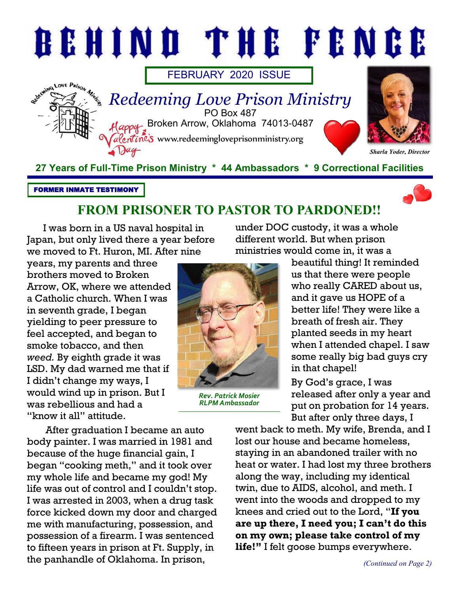

FORMER INMATE TESTIMONY



# **FROM PRISONER TO PASTOR TO PARDONED!!**

I was born in a US naval hospital in Japan, but only lived there a year before we moved to Ft. Huron, MI. After nine

years, my parents and three brothers moved to Broken Arrow, OK, where we attended a Catholic church. When I was in seventh grade, I began yielding to peer pressure to feel accepted, and began to smoke tobacco, and then *weed.* By eighth grade it was LSD. My dad warned me that if I didn't change my ways, I would wind up in prison. But I was rebellious and had a "know it all" attitude.



*Rev. Patrick Mosier RLPM Ambassador*

under DOC custody, it was a whole different world. But when prison ministries would come in, it was a

> beautiful thing! It reminded us that there were people who really CARED about us, and it gave us HOPE of a better life! They were like a breath of fresh air. They planted seeds in my heart when I attended chapel. I saw some really big bad guys cry in that chapel!

By God's grace, I was released after only a year and put on probation for 14 years. But after only three days, I

After graduation I became an auto body painter. I was married in 1981 and because of the huge financial gain, I began "cooking meth," and it took over my whole life and became my god! My life was out of control and I couldn't stop. I was arrested in 2003, when a drug task force kicked down my door and charged me with manufacturing, possession, and possession of a firearm. I was sentenced to fifteen years in prison at Ft. Supply, in the panhandle of Oklahoma. In prison,

went back to meth. My wife, Brenda, and I lost our house and became homeless, staying in an abandoned trailer with no heat or water. I had lost my three brothers along the way, including my identical twin, due to AIDS, alcohol, and meth. I went into the woods and dropped to my knees and cried out to the Lord, "**If you are up there, I need you; I can't do this on my own; please take control of my life!"** I felt goose bumps everywhere.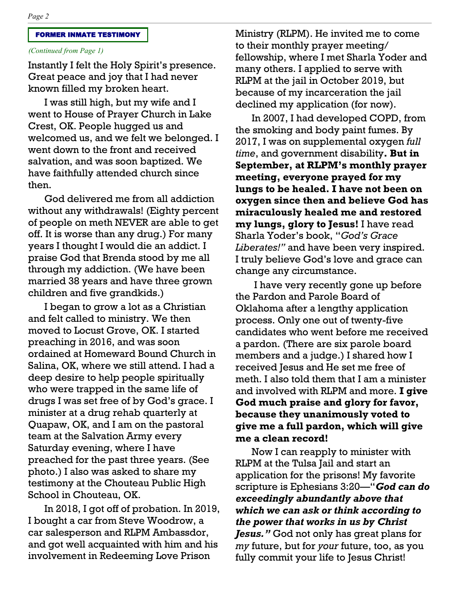#### FORMER INMATE TESTIMONY

### *(Continued from Page 1)*

Instantly I felt the Holy Spirit's presence. Great peace and joy that I had never known filled my broken heart.

I was still high, but my wife and I went to House of Prayer Church in Lake Crest, OK. People hugged us and welcomed us, and we felt we belonged. I went down to the front and received salvation, and was soon baptized. We have faithfully attended church since then.

God delivered me from all addiction without any withdrawals! (Eighty percent of people on meth NEVER are able to get off. It is worse than any drug.) For many years I thought I would die an addict. I praise God that Brenda stood by me all through my addiction. (We have been married 38 years and have three grown children and five grandkids.)

I began to grow a lot as a Christian and felt called to ministry. We then moved to Locust Grove, OK. I started preaching in 2016, and was soon ordained at Homeward Bound Church in Salina, OK, where we still attend. I had a deep desire to help people spiritually who were trapped in the same life of drugs I was set free of by God's grace. I minister at a drug rehab quarterly at Quapaw, OK, and I am on the pastoral team at the Salvation Army every Saturday evening, where I have preached for the past three years. (See photo.) I also was asked to share my testimony at the Chouteau Public High School in Chouteau, OK.

In 2018, I got off of probation. In 2019, I bought a car from Steve Woodrow, a car salesperson and RLPM Ambassdor, and got well acquainted with him and his involvement in Redeeming Love Prison

Ministry (RLPM). He invited me to come to their monthly prayer meeting/ fellowship, where I met Sharla Yoder and many others. I applied to serve with RLPM at the jail in October 2019, but because of my incarceration the jail declined my application (for now).

In 2007, I had developed COPD, from the smoking and body paint fumes. By 2017, I was on supplemental oxygen *full time*, and government disability**. But in September, at RLPM's monthly prayer meeting, everyone prayed for my lungs to be healed. I have not been on oxygen since then and believe God has miraculously healed me and restored my lungs, glory to Jesus!** I have read Sharla Yoder's book, "*God's Grace Liberates!"* and have been very inspired. I truly believe God's love and grace can change any circumstance.

I have very recently gone up before the Pardon and Parole Board of Oklahoma after a lengthy application process. Only one out of twenty-five candidates who went before me received a pardon. (There are six parole board members and a judge.) I shared how I received Jesus and He set me free of meth. I also told them that I am a minister and involved with RLPM and more. **I give God much praise and glory for favor, because they unanimously voted to give me a full pardon, which will give me a clean record!** 

Now I can reapply to minister with RLPM at the Tulsa Jail and start an application for the prisons! My favorite scripture is Ephesians 3:20—"*God can do exceedingly abundantly above that which we can ask or think according to the power that works in us by Christ Jesus."* God not only has great plans for *my* future, but for *your* future, too, as you fully commit your life to Jesus Christ!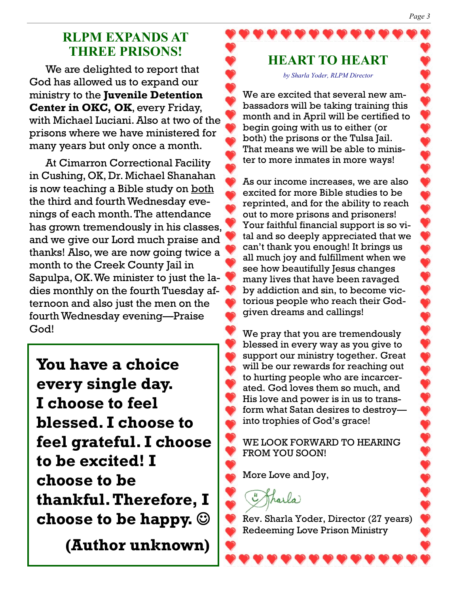# **RLPM EXPANDS AT THREE PRISONS!**

We are delighted to report that God has allowed us to expand our ministry to the **Juvenile Detention Center in OKC, OK**, every Friday, with Michael Luciani. Also at two of the prisons where we have ministered for many years but only once a month.

At Cimarron Correctional Facility in Cushing, OK, Dr. Michael Shanahan is now teaching a Bible study on both the third and fourth Wednesday evenings of each month. The attendance has grown tremendously in his classes, and we give our Lord much praise and thanks! Also, we are now going twice a month to the Creek County Jail in Sapulpa, OK. We minister to just the ladies monthly on the fourth Tuesday afternoon and also just the men on the fourth Wednesday evening—Praise God!

**You have a choice every single day. I choose to feel blessed. I choose to feel grateful. I choose to be excited! I choose to be thankful. Therefore, I choose to be happy.** ☺

**(Author unknown)**

# **HEART TO HEART**

*by Sharla Yoder, RLPM Director*

We are excited that several new ambassadors will be taking training this month and in April will be certified to begin going with us to either (or both) the prisons or the Tulsa Jail. That means we will be able to minister to more inmates in more ways!

As our income increases, we are also excited for more Bible studies to be reprinted, and for the ability to reach out to more prisons and prisoners! Your faithful financial support is so vital and so deeply appreciated that we can't thank you enough! It brings us all much joy and fulfillment when we see how beautifully Jesus changes many lives that have been ravaged by addiction and sin, to become victorious people who reach their Godgiven dreams and callings!

We pray that you are tremendously blessed in every way as you give to support our ministry together. Great will be our rewards for reaching out to hurting people who are incarcerated. God loves them so much, and His love and power is in us to transform what Satan desires to destroy into trophies of God's grace!

WE LOOK FORWARD TO HEARING FROM YOU SOON!

More Love and Joy,

Tharla

Rev. Sharla Yoder, Director (27 years) Redeeming Love Prison Ministry